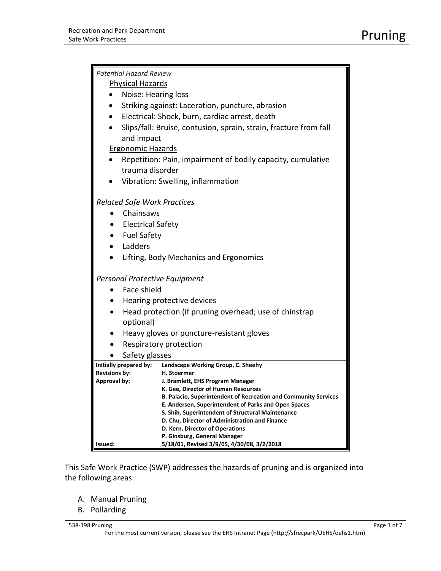| <b>Potential Hazard Review</b>                                                                            |
|-----------------------------------------------------------------------------------------------------------|
| <b>Physical Hazards</b>                                                                                   |
| Noise: Hearing loss                                                                                       |
| Striking against: Laceration, puncture, abrasion<br>$\bullet$                                             |
| Electrical: Shock, burn, cardiac arrest, death<br>$\bullet$                                               |
| Slips/fall: Bruise, contusion, sprain, strain, fracture from fall                                         |
| and impact                                                                                                |
| <b>Ergonomic Hazards</b>                                                                                  |
| Repetition: Pain, impairment of bodily capacity, cumulative                                               |
| trauma disorder                                                                                           |
| Vibration: Swelling, inflammation                                                                         |
| <b>Related Safe Work Practices</b>                                                                        |
| Chainsaws                                                                                                 |
| • Electrical Safety                                                                                       |
| • Fuel Safety                                                                                             |
| • Ladders                                                                                                 |
| Lifting, Body Mechanics and Ergonomics                                                                    |
| Personal Protective Equipment                                                                             |
| Face shield                                                                                               |
| • Hearing protective devices                                                                              |
| Head protection (if pruning overhead; use of chinstrap<br>$\bullet$                                       |
| optional)                                                                                                 |
| Heavy gloves or puncture-resistant gloves<br>$\bullet$                                                    |
| Respiratory protection                                                                                    |
| Safety glasses                                                                                            |
| Initially prepared by: Landscape Working Group, C. Sheehy                                                 |
| <b>Revisions by:</b><br>H. Stoermer<br><b>Approval by:</b><br>J. Bramlett, EHS Program Manager            |
| K. Gee, Director of Human Resources                                                                       |
| B. Palacio, Superintendent of Recreation and Community Services                                           |
| E. Andersen, Superintendent of Parks and Open Spaces<br>S. Shih, Superintendent of Structural Maintenance |
| D. Chu, Director of Administration and Finance                                                            |
| D. Kern, Director of Operations                                                                           |
| P. Ginsburg, General Manager<br>5/18/01, Revised 3/9/05, 4/30/08, 3/2/2018<br>Issued:                     |

This Safe Work Practice (SWP) addresses the hazards of pruning and is organized into the following areas:

- A. Manual Pruning
- B. Pollarding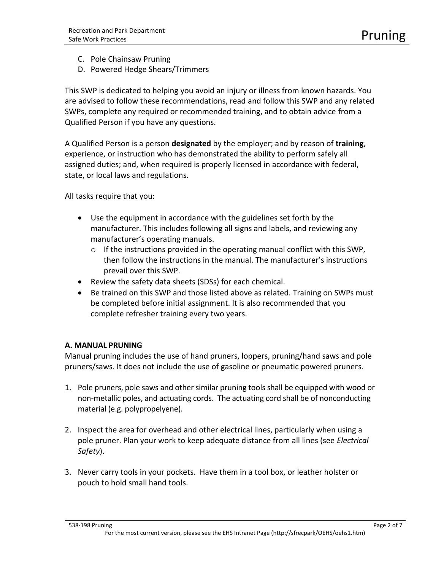- C. Pole Chainsaw Pruning
- D. Powered Hedge Shears/Trimmers

This SWP is dedicated to helping you avoid an injury or illness from known hazards. You are advised to follow these recommendations, read and follow this SWP and any related SWPs, complete any required or recommended training, and to obtain advice from a Qualified Person if you have any questions.

A Qualified Person is a person **designated** by the employer; and by reason of **training**, experience, or instruction who has demonstrated the ability to perform safely all assigned duties; and, when required is properly licensed in accordance with federal, state, or local laws and regulations.

All tasks require that you:

- Use the equipment in accordance with the guidelines set forth by the manufacturer. This includes following all signs and labels, and reviewing any manufacturer's operating manuals.
	- o If the instructions provided in the operating manual conflict with this SWP, then follow the instructions in the manual. The manufacturer's instructions prevail over this SWP.
- Review the safety data sheets (SDSs) for each chemical.
- Be trained on this SWP and those listed above as related. Training on SWPs must be completed before initial assignment. It is also recommended that you complete refresher training every two years.

# **A. MANUAL PRUNING**

Manual pruning includes the use of hand pruners, loppers, pruning/hand saws and pole pruners/saws. It does not include the use of gasoline or pneumatic powered pruners.

- 1. Pole pruners, pole saws and other similar pruning tools shall be equipped with wood or non-metallic poles, and actuating cords. The actuating cord shall be of nonconducting material (e.g. polypropelyene).
- 2. Inspect the area for overhead and other electrical lines, particularly when using a pole pruner. Plan your work to keep adequate distance from all lines (see *Electrical Safety*).
- 3. Never carry tools in your pockets. Have them in a tool box, or leather holster or pouch to hold small hand tools.

#### 538-198 Pruning Page 2 of 7 Australian Street Australian Street Australian Street Australian Street Australian Street Australian Street Australian Street Australian Street Australian Street Australian Street Australian Str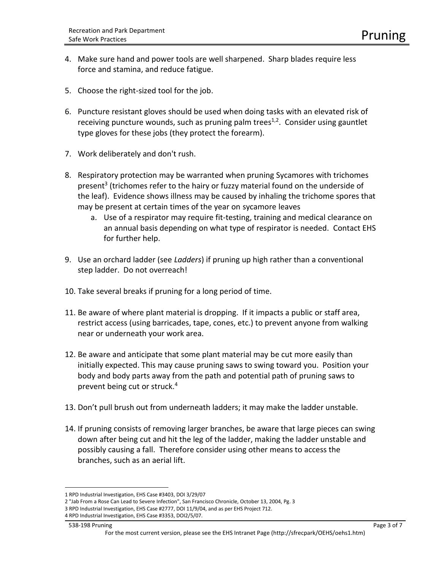- 4. Make sure hand and power tools are well sharpened. Sharp blades require less force and stamina, and reduce fatigue.
- 5. Choose the right-sized tool for the job.
- 6. Puncture resistant gloves should be used when doing tasks with an elevated risk of receiving puncture wounds, such as pruning palm trees<sup>1,2</sup>. Consider using gauntlet type gloves for these jobs (they protect the forearm).
- 7. Work deliberately and don't rush.
- 8. Respiratory protection may be warranted when pruning Sycamores with trichomes present<sup>3</sup> (trichomes refer to the hairy or fuzzy material found on the underside of the leaf). Evidence shows illness may be caused by inhaling the trichome spores that may be present at certain times of the year on sycamore leaves
	- a. Use of a respirator may require fit-testing, training and medical clearance on an annual basis depending on what type of respirator is needed. Contact EHS for further help.
- 9. Use an orchard ladder (see *Ladders*) if pruning up high rather than a conventional step ladder. Do not overreach!
- 10. Take several breaks if pruning for a long period of time.
- 11. Be aware of where plant material is dropping. If it impacts a public or staff area, restrict access (using barricades, tape, cones, etc.) to prevent anyone from walking near or underneath your work area.
- 12. Be aware and anticipate that some plant material may be cut more easily than initially expected. This may cause pruning saws to swing toward you. Position your body and body parts away from the path and potential path of pruning saws to prevent being cut or struck.<sup>4</sup>
- 13. Don't pull brush out from underneath ladders; it may make the ladder unstable.
- 14. If pruning consists of removing larger branches, be aware that large pieces can swing down after being cut and hit the leg of the ladder, making the ladder unstable and possibly causing a fall. Therefore consider using other means to access the branches, such as an aerial lift.

l 1 RPD Industrial Investigation, EHS Case #3403, DOI 3/29/07

<sup>2</sup> "Jab From a Rose Can Lead to Severe Infection", San Francisco Chronicle, October 13, 2004, Pg. 3

<sup>3</sup> RPD Industrial Investigation, EHS Case #2777, DOI 11/9/04, and as per EHS Project 712.

<sup>4</sup> RPD Industrial Investigation, EHS Case #3353, DOI2/5/07.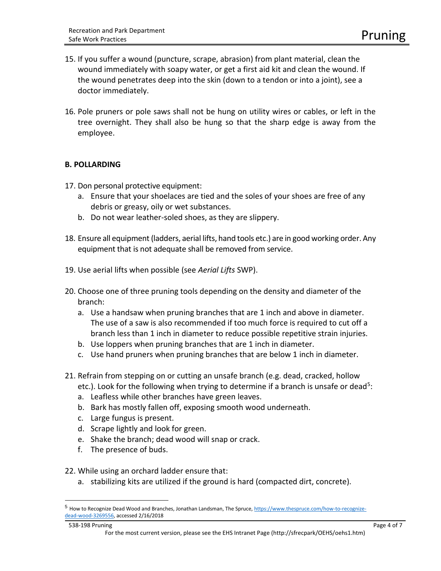- 15. If you suffer a wound (puncture, scrape, abrasion) from plant material, clean the wound immediately with soapy water, or get a first aid kit and clean the wound. If the wound penetrates deep into the skin (down to a tendon or into a joint), see a doctor immediately.
- 16. Pole pruners or pole saws shall not be hung on utility wires or cables, or left in the tree overnight. They shall also be hung so that the sharp edge is away from the employee.

# **B. POLLARDING**

- 17. Don personal protective equipment:
	- a. Ensure that your shoelaces are tied and the soles of your shoes are free of any debris or greasy, oily or wet substances.
	- b. Do not wear leather-soled shoes, as they are slippery.
- 18. Ensure all equipment (ladders, aerial lifts, hand tools etc.) are in good working order. Any equipment that is not adequate shall be removed from service.
- 19. Use aerial lifts when possible (see *Aerial Lifts* SWP).
- 20. Choose one of three pruning tools depending on the density and diameter of the branch:
	- a. Use a handsaw when pruning branches that are 1 inch and above in diameter. The use of a saw is also recommended if too much force is required to cut off a branch less than 1 inch in diameter to reduce possible repetitive strain injuries.
	- b. Use loppers when pruning branches that are 1 inch in diameter.
	- c. Use hand pruners when pruning branches that are below 1 inch in diameter.
- 21. Refrain from stepping on or cutting an unsafe branch (e.g. dead, cracked, hollow etc.). Look for the following when trying to determine if a branch is unsafe or dead<sup>5</sup>:
	- a. Leafless while other branches have green leaves.
	- b. Bark has mostly fallen off, exposing smooth wood underneath.
	- c. Large fungus is present.
	- d. Scrape lightly and look for green.
	- e. Shake the branch; dead wood will snap or crack.
	- f. The presence of buds.

 $\overline{a}$ 

- 22. While using an orchard ladder ensure that:
	- a. stabilizing kits are utilized if the ground is hard (compacted dirt, concrete).

<sup>5</sup> How to Recognize Dead Wood and Branches, Jonathan Landsman, The Spruce[, https://www.thespruce.com/how-to-recognize](https://www.thespruce.com/how-to-recognize-dead-wood-3269556)[dead-wood-3269556,](https://www.thespruce.com/how-to-recognize-dead-wood-3269556) accessed 2/16/2018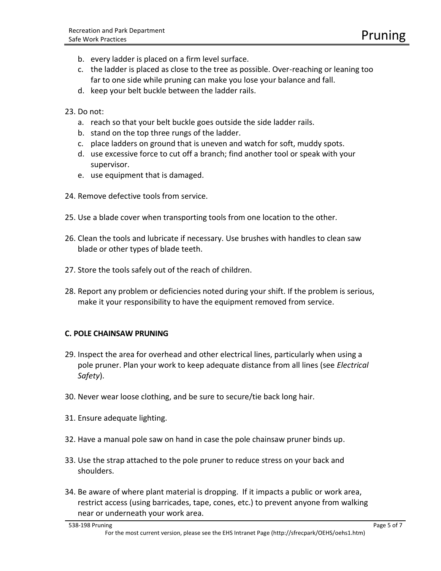- b. every ladder is placed on a firm level surface.
- c. the ladder is placed as close to the tree as possible. Over-reaching or leaning too far to one side while pruning can make you lose your balance and fall.
- d. keep your belt buckle between the ladder rails.

23. Do not:

- a. reach so that your belt buckle goes outside the side ladder rails.
- b. stand on the top three rungs of the ladder.
- c. place ladders on ground that is uneven and watch for soft, muddy spots.
- d. use excessive force to cut off a branch; find another tool or speak with your supervisor.
- e. use equipment that is damaged.
- 24. Remove defective tools from service.
- 25. Use a blade cover when transporting tools from one location to the other.
- 26. Clean the tools and lubricate if necessary. Use brushes with handles to clean saw blade or other types of blade teeth.
- 27. Store the tools safely out of the reach of children.
- 28. Report any problem or deficiencies noted during your shift. If the problem is serious, make it your responsibility to have the equipment removed from service.

# **C. POLE CHAINSAW PRUNING**

- 29. Inspect the area for overhead and other electrical lines, particularly when using a pole pruner. Plan your work to keep adequate distance from all lines (see *Electrical Safety*).
- 30. Never wear loose clothing, and be sure to secure/tie back long hair.
- 31. Ensure adequate lighting.
- 32. Have a manual pole saw on hand in case the pole chainsaw pruner binds up.
- 33. Use the strap attached to the pole pruner to reduce stress on your back and shoulders.
- 34. Be aware of where plant material is dropping. If it impacts a public or work area, restrict access (using barricades, tape, cones, etc.) to prevent anyone from walking near or underneath your work area.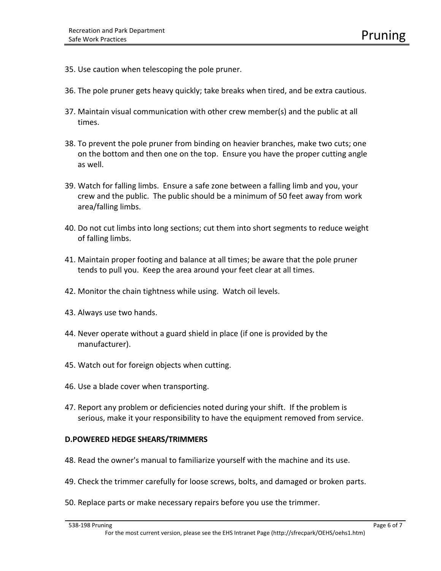- 35. Use caution when telescoping the pole pruner.
- 36. The pole pruner gets heavy quickly; take breaks when tired, and be extra cautious.
- 37. Maintain visual communication with other crew member(s) and the public at all times.
- 38. To prevent the pole pruner from binding on heavier branches, make two cuts; one on the bottom and then one on the top. Ensure you have the proper cutting angle as well.
- 39. Watch for falling limbs. Ensure a safe zone between a falling limb and you, your crew and the public. The public should be a minimum of 50 feet away from work area/falling limbs.
- 40. Do not cut limbs into long sections; cut them into short segments to reduce weight of falling limbs.
- 41. Maintain proper footing and balance at all times; be aware that the pole pruner tends to pull you. Keep the area around your feet clear at all times.
- 42. Monitor the chain tightness while using. Watch oil levels.
- 43. Always use two hands.
- 44. Never operate without a guard shield in place (if one is provided by the manufacturer).
- 45. Watch out for foreign objects when cutting.
- 46. Use a blade cover when transporting.
- 47. Report any problem or deficiencies noted during your shift. If the problem is serious, make it your responsibility to have the equipment removed from service.

#### **D.POWERED HEDGE SHEARS/TRIMMERS**

- 48. Read the owner's manual to familiarize yourself with the machine and its use.
- 49. Check the trimmer carefully for loose screws, bolts, and damaged or broken parts.
- 50. Replace parts or make necessary repairs before you use the trimmer.